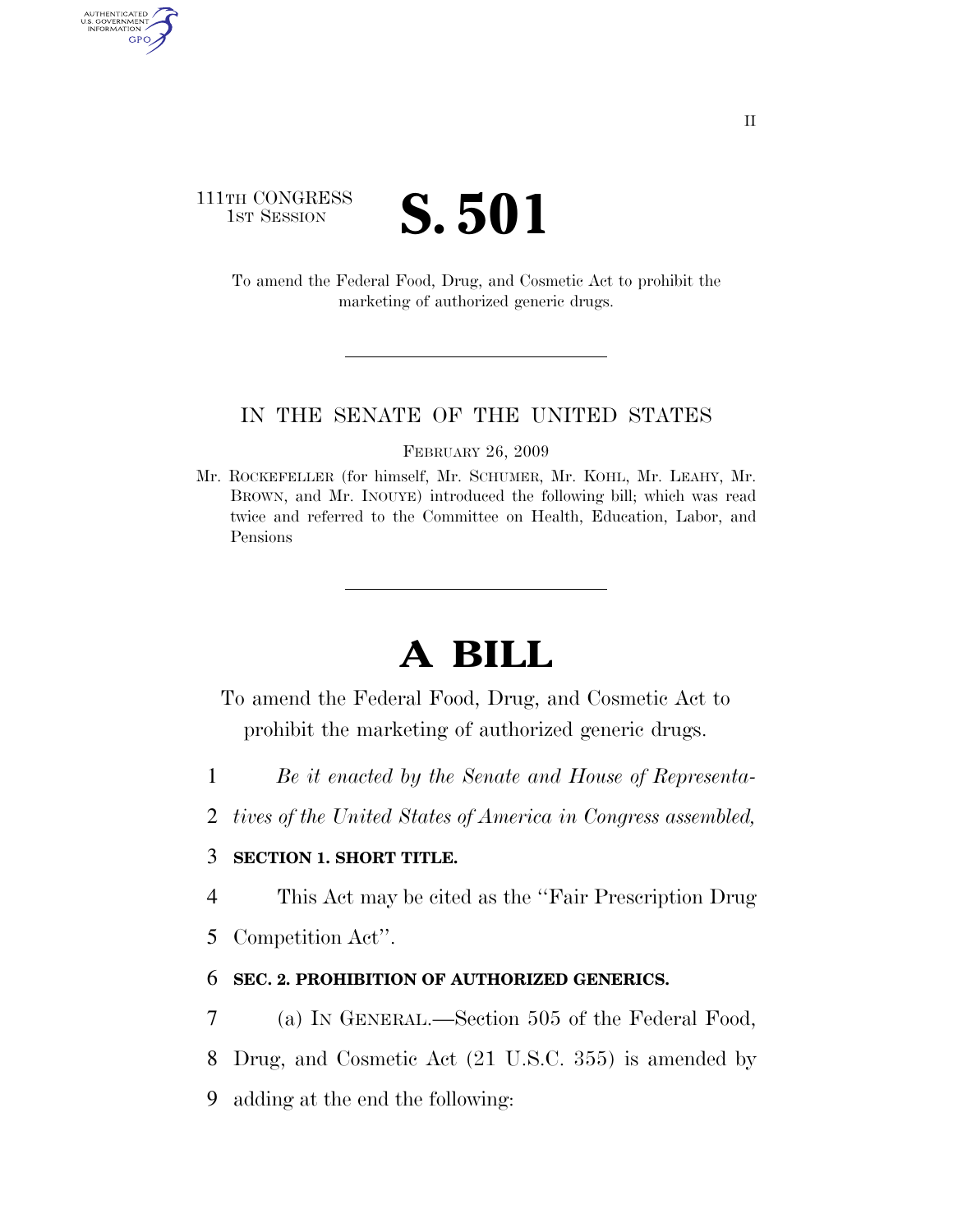## 111TH CONGRESS **IST SESSION S. 501**

AUTHENTICATED<br>U.S. GOVERNMENT<br>INFORMATION GPO

> To amend the Federal Food, Drug, and Cosmetic Act to prohibit the marketing of authorized generic drugs.

### IN THE SENATE OF THE UNITED STATES

FEBRUARY 26, 2009

Mr. ROCKEFELLER (for himself, Mr. SCHUMER, Mr. KOHL, Mr. LEAHY, Mr. BROWN, and Mr. INOUYE) introduced the following bill; which was read twice and referred to the Committee on Health, Education, Labor, and Pensions

# **A BILL**

To amend the Federal Food, Drug, and Cosmetic Act to prohibit the marketing of authorized generic drugs.

- 1 *Be it enacted by the Senate and House of Representa-*
- 2 *tives of the United States of America in Congress assembled,*

## 3 **SECTION 1. SHORT TITLE.**

- 4 This Act may be cited as the ''Fair Prescription Drug
- 5 Competition Act''.

#### 6 **SEC. 2. PROHIBITION OF AUTHORIZED GENERICS.**

- 7 (a) IN GENERAL.—Section 505 of the Federal Food,
- 8 Drug, and Cosmetic Act (21 U.S.C. 355) is amended by
- 9 adding at the end the following: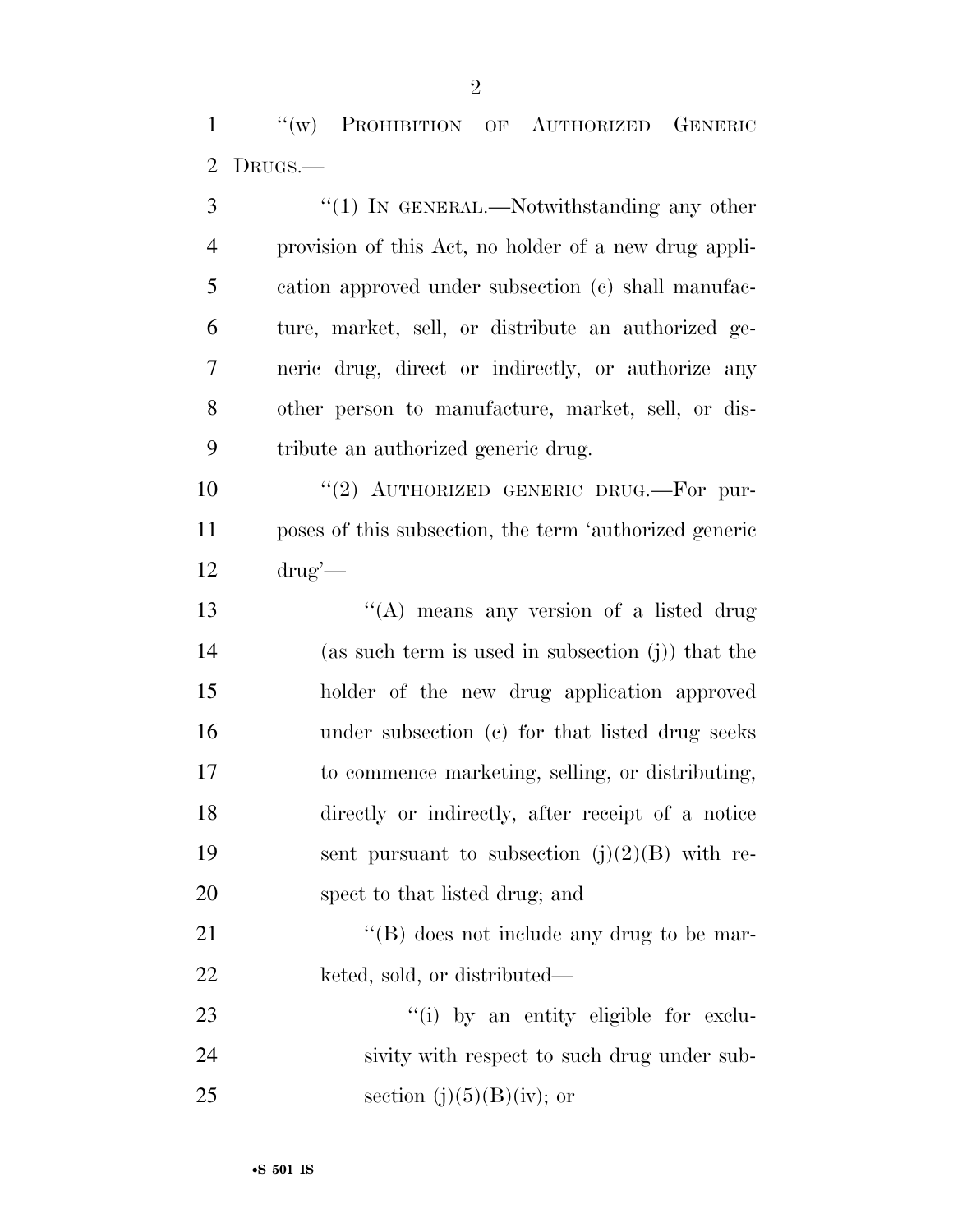''(w) PROHIBITION OF AUTHORIZED GENERIC DRUGS.—

3 "(1) In GENERAL.—Notwithstanding any other provision of this Act, no holder of a new drug appli- cation approved under subsection (c) shall manufac- ture, market, sell, or distribute an authorized ge- neric drug, direct or indirectly, or authorize any other person to manufacture, market, sell, or dis- tribute an authorized generic drug. 10 "(2) AUTHORIZED GENERIC DRUG.—For pur- poses of this subsection, the term 'authorized generic drug'— 13 "(A) means any version of a listed drug (as such term is used in subsection (j)) that the holder of the new drug application approved under subsection (c) for that listed drug seeks to commence marketing, selling, or distributing, directly or indirectly, after receipt of a notice 19 sent pursuant to subsection  $(j)(2)(B)$  with re- spect to that listed drug; and 21 ''(B) does not include any drug to be mar-22 keted, sold, or distributed—  $\frac{1}{2}$  (i) by an entity eligible for exclu-sivity with respect to such drug under sub-

25 section (j) $(5)(B)(iv)$ ; or